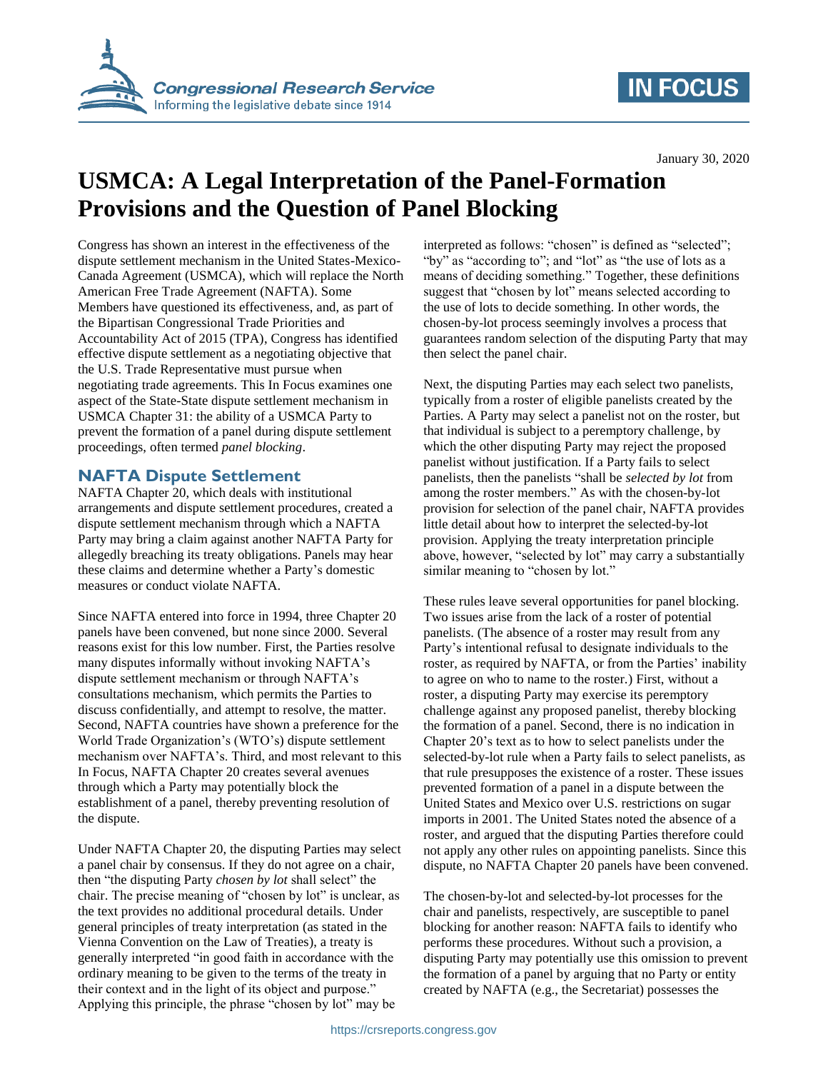

## **IN FOCUS**

January 30, 2020

# **USMCA: A Legal Interpretation of the Panel-Formation Provisions and the Question of Panel Blocking**

Congress has shown an interest in the effectiveness of the dispute settlement mechanism in the United States-Mexico-Canada Agreement (USMCA), which will replace the North American Free Trade Agreement (NAFTA). Some Members have questioned its effectiveness, and, as part of the Bipartisan Congressional Trade Priorities and Accountability Act of 2015 (TPA), Congress has identified effective dispute settlement as a negotiating objective that the U.S. Trade Representative must pursue when negotiating trade agreements. This In Focus examines one aspect of the State-State dispute settlement mechanism in USMCA Chapter 31: the ability of a USMCA Party to prevent the formation of a panel during dispute settlement proceedings, often termed *panel blocking*.

#### **NAFTA Dispute Settlement**

NAFTA Chapter 20, which deals with institutional arrangements and dispute settlement procedures, created a dispute settlement mechanism through which a NAFTA Party may bring a claim against another NAFTA Party for allegedly breaching its treaty obligations. Panels may hear these claims and determine whether a Party's domestic measures or conduct violate NAFTA.

Since NAFTA entered into force in 1994, three Chapter 20 panels have been convened, but none since 2000. Several reasons exist for this low number. First, the Parties resolve many disputes informally without invoking NAFTA's dispute settlement mechanism or through NAFTA's consultations mechanism, which permits the Parties to discuss confidentially, and attempt to resolve, the matter. Second, NAFTA countries have shown a preference for the World Trade Organization's (WTO's) dispute settlement mechanism over NAFTA's. Third, and most relevant to this In Focus, NAFTA Chapter 20 creates several avenues through which a Party may potentially block the establishment of a panel, thereby preventing resolution of the dispute.

Under NAFTA Chapter 20, the disputing Parties may select a panel chair by consensus. If they do not agree on a chair, then "the disputing Party *chosen by lot* shall select" the chair. The precise meaning of "chosen by lot" is unclear, as the text provides no additional procedural details. Under general principles of treaty interpretation (as stated in the Vienna Convention on the Law of Treaties), a treaty is generally interpreted "in good faith in accordance with the ordinary meaning to be given to the terms of the treaty in their context and in the light of its object and purpose." Applying this principle, the phrase "chosen by lot" may be

interpreted as follows: "chosen" is defined as "selected"; "by" as "according to"; and "lot" as "the use of lots as a means of deciding something." Together, these definitions suggest that "chosen by lot" means selected according to the use of lots to decide something. In other words, the chosen-by-lot process seemingly involves a process that guarantees random selection of the disputing Party that may then select the panel chair.

Next, the disputing Parties may each select two panelists, typically from a roster of eligible panelists created by the Parties. A Party may select a panelist not on the roster, but that individual is subject to a peremptory challenge, by which the other disputing Party may reject the proposed panelist without justification. If a Party fails to select panelists, then the panelists "shall be *selected by lot* from among the roster members." As with the chosen-by-lot provision for selection of the panel chair, NAFTA provides little detail about how to interpret the selected-by-lot provision. Applying the treaty interpretation principle above, however, "selected by lot" may carry a substantially similar meaning to "chosen by lot."

These rules leave several opportunities for panel blocking. Two issues arise from the lack of a roster of potential panelists. (The absence of a roster may result from any Party's intentional refusal to designate individuals to the roster, as required by NAFTA, or from the Parties' inability to agree on who to name to the roster.) First, without a roster, a disputing Party may exercise its peremptory challenge against any proposed panelist, thereby blocking the formation of a panel. Second, there is no indication in Chapter 20's text as to how to select panelists under the selected-by-lot rule when a Party fails to select panelists, as that rule presupposes the existence of a roster. These issues prevented formation of a panel in a dispute between the United States and Mexico over U.S. restrictions on sugar imports in 2001. The United States noted the absence of a roster, and argued that the disputing Parties therefore could not apply any other rules on appointing panelists. Since this dispute, no NAFTA Chapter 20 panels have been convened.

The chosen-by-lot and selected-by-lot processes for the chair and panelists, respectively, are susceptible to panel blocking for another reason: NAFTA fails to identify who performs these procedures. Without such a provision, a disputing Party may potentially use this omission to prevent the formation of a panel by arguing that no Party or entity created by NAFTA (e.g., the Secretariat) possesses the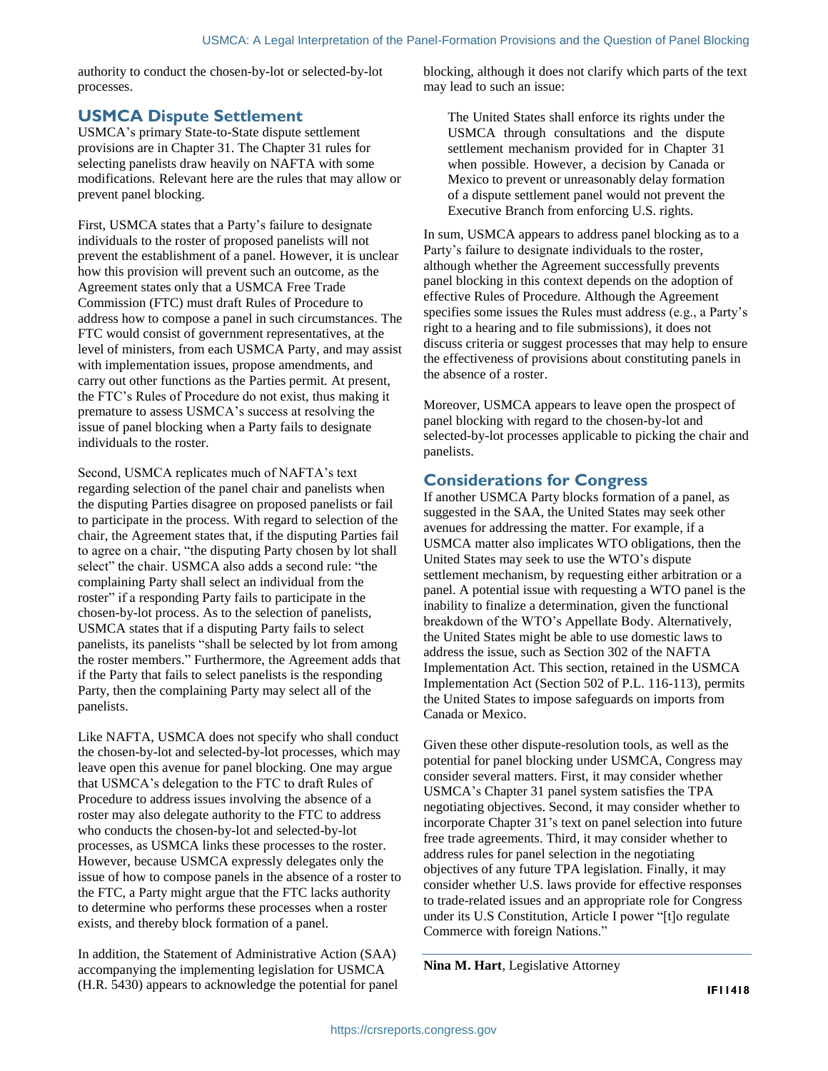authority to conduct the chosen-by-lot or selected-by-lot processes.

#### **USMCA Dispute Settlement**

USMCA's primary State-to-State dispute settlement provisions are in Chapter 31. The Chapter 31 rules for selecting panelists draw heavily on NAFTA with some modifications. Relevant here are the rules that may allow or prevent panel blocking.

First, USMCA states that a Party's failure to designate individuals to the roster of proposed panelists will not prevent the establishment of a panel. However, it is unclear how this provision will prevent such an outcome, as the Agreement states only that a USMCA Free Trade Commission (FTC) must draft Rules of Procedure to address how to compose a panel in such circumstances. The FTC would consist of government representatives, at the level of ministers, from each USMCA Party, and may assist with implementation issues, propose amendments, and carry out other functions as the Parties permit. At present, the FTC's Rules of Procedure do not exist, thus making it premature to assess USMCA's success at resolving the issue of panel blocking when a Party fails to designate individuals to the roster.

Second, USMCA replicates much of NAFTA's text regarding selection of the panel chair and panelists when the disputing Parties disagree on proposed panelists or fail to participate in the process. With regard to selection of the chair, the Agreement states that, if the disputing Parties fail to agree on a chair, "the disputing Party chosen by lot shall select" the chair. USMCA also adds a second rule: "the complaining Party shall select an individual from the roster" if a responding Party fails to participate in the chosen-by-lot process. As to the selection of panelists, USMCA states that if a disputing Party fails to select panelists, its panelists "shall be selected by lot from among the roster members." Furthermore, the Agreement adds that if the Party that fails to select panelists is the responding Party, then the complaining Party may select all of the panelists.

Like NAFTA, USMCA does not specify who shall conduct the chosen-by-lot and selected-by-lot processes, which may leave open this avenue for panel blocking. One may argue that USMCA's delegation to the FTC to draft Rules of Procedure to address issues involving the absence of a roster may also delegate authority to the FTC to address who conducts the chosen-by-lot and selected-by-lot processes, as USMCA links these processes to the roster. However, because USMCA expressly delegates only the issue of how to compose panels in the absence of a roster to the FTC, a Party might argue that the FTC lacks authority to determine who performs these processes when a roster exists, and thereby block formation of a panel.

In addition, the Statement of Administrative Action (SAA) accompanying the implementing legislation for USMCA (H.R. 5430) appears to acknowledge the potential for panel blocking, although it does not clarify which parts of the text may lead to such an issue:

The United States shall enforce its rights under the USMCA through consultations and the dispute settlement mechanism provided for in Chapter 31 when possible. However, a decision by Canada or Mexico to prevent or unreasonably delay formation of a dispute settlement panel would not prevent the Executive Branch from enforcing U.S. rights.

In sum, USMCA appears to address panel blocking as to a Party's failure to designate individuals to the roster, although whether the Agreement successfully prevents panel blocking in this context depends on the adoption of effective Rules of Procedure. Although the Agreement specifies some issues the Rules must address (e.g., a Party's right to a hearing and to file submissions), it does not discuss criteria or suggest processes that may help to ensure the effectiveness of provisions about constituting panels in the absence of a roster.

Moreover, USMCA appears to leave open the prospect of panel blocking with regard to the chosen-by-lot and selected-by-lot processes applicable to picking the chair and panelists.

### **Considerations for Congress**

If another USMCA Party blocks formation of a panel, as suggested in the SAA, the United States may seek other avenues for addressing the matter. For example, if a USMCA matter also implicates WTO obligations, then the United States may seek to use the WTO's dispute settlement mechanism, by requesting either arbitration or a panel. A potential issue with requesting a WTO panel is the inability to finalize a determination, given the functional breakdown of the WTO's Appellate Body. Alternatively, the United States might be able to use domestic laws to address the issue, such as Section 302 of the NAFTA Implementation Act. This section, retained in the USMCA Implementation Act (Section 502 of P.L. 116-113), permits the United States to impose safeguards on imports from Canada or Mexico.

Given these other dispute-resolution tools, as well as the potential for panel blocking under USMCA, Congress may consider several matters. First, it may consider whether USMCA's Chapter 31 panel system satisfies the TPA negotiating objectives. Second, it may consider whether to incorporate Chapter 31's text on panel selection into future free trade agreements. Third, it may consider whether to address rules for panel selection in the negotiating objectives of any future TPA legislation. Finally, it may consider whether U.S. laws provide for effective responses to trade-related issues and an appropriate role for Congress under its U.S Constitution, Article I power "[t]o regulate Commerce with foreign Nations."

**Nina M. Hart**, Legislative Attorney